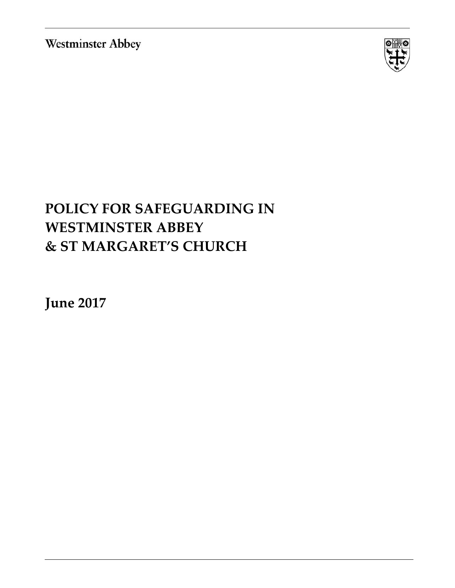**Westminster Abbey** 



# **POLICY FOR SAFEGUARDING IN WESTMINSTER ABBEY & ST MARGARET'S CHURCH**

**June 2017**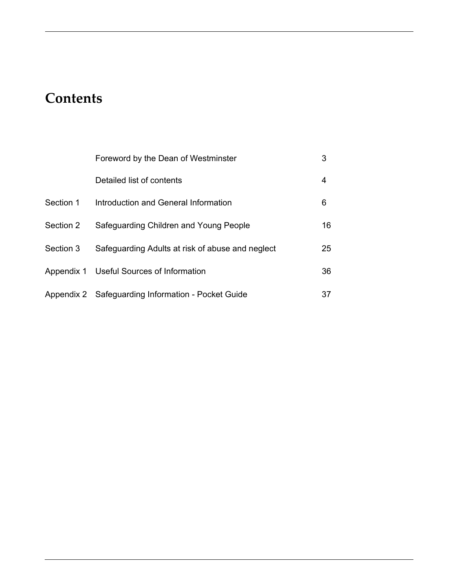## **Contents**

|           | Foreword by the Dean of Westminster                | 3  |
|-----------|----------------------------------------------------|----|
|           | Detailed list of contents                          | 4  |
| Section 1 | Introduction and General Information               | 6  |
| Section 2 | Safeguarding Children and Young People             | 16 |
| Section 3 | Safeguarding Adults at risk of abuse and neglect   | 25 |
|           | Appendix 1 Useful Sources of Information           | 36 |
|           | Appendix 2 Safeguarding Information - Pocket Guide | 37 |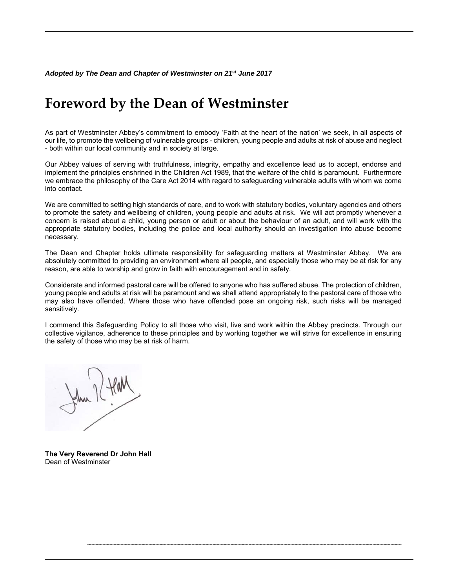## **Foreword by the Dean of Westminster**

As part of Westminster Abbey's commitment to embody 'Faith at the heart of the nation' we seek, in all aspects of our life, to promote the wellbeing of vulnerable groups - children, young people and adults at risk of abuse and neglect - both within our local community and in society at large.

Our Abbey values of serving with truthfulness, integrity, empathy and excellence lead us to accept, endorse and implement the principles enshrined in the Children Act 1989, that the welfare of the child is paramount. Furthermore we embrace the philosophy of the Care Act 2014 with regard to safeguarding vulnerable adults with whom we come into contact.

We are committed to setting high standards of care, and to work with statutory bodies, voluntary agencies and others to promote the safety and wellbeing of children, young people and adults at risk. We will act promptly whenever a concern is raised about a child, young person or adult or about the behaviour of an adult, and will work with the appropriate statutory bodies, including the police and local authority should an investigation into abuse become necessary.

The Dean and Chapter holds ultimate responsibility for safeguarding matters at Westminster Abbey. We are absolutely committed to providing an environment where all people, and especially those who may be at risk for any reason, are able to worship and grow in faith with encouragement and in safety.

Considerate and informed pastoral care will be offered to anyone who has suffered abuse. The protection of children, young people and adults at risk will be paramount and we shall attend appropriately to the pastoral care of those who may also have offended. Where those who have offended pose an ongoing risk, such risks will be managed sensitively.

I commend this Safeguarding Policy to all those who visit, live and work within the Abbey precincts. Through our collective vigilance, adherence to these principles and by working together we will strive for excellence in ensuring the safety of those who may be at risk of harm.

**----------------------------------------------------------------------------------------------------------------------------------------------------------------------------------------------------------------------------------**

**The Very Reverend Dr John Hall**  Dean of Westminster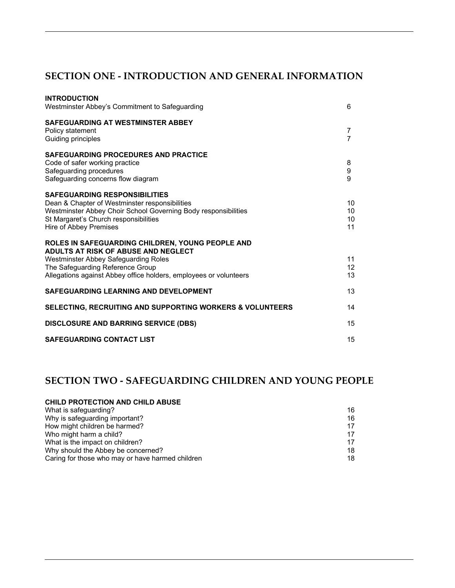## **SECTION ONE - INTRODUCTION AND GENERAL INFORMATION**

| <b>INTRODUCTION</b><br>Westminster Abbey's Commitment to Safeguarding                                                                                                                                                                           | 6                           |
|-------------------------------------------------------------------------------------------------------------------------------------------------------------------------------------------------------------------------------------------------|-----------------------------|
| SAFEGUARDING AT WESTMINSTER ABBEY<br>Policy statement<br>Guiding principles                                                                                                                                                                     | 7<br>$\overline{7}$         |
| <b>SAFEGUARDING PROCEDURES AND PRACTICE</b><br>Code of safer working practice<br>Safeguarding procedures<br>Safeguarding concerns flow diagram                                                                                                  | 8<br>9<br>9                 |
| <b>SAFEGUARDING RESPONSIBILITIES</b><br>Dean & Chapter of Westminster responsibilities<br>Westminster Abbey Choir School Governing Body responsibilities<br>St Margaret's Church responsibilities<br>Hire of Abbey Premises                     | 10<br>10<br>10<br>11        |
| ROLES IN SAFEGUARDING CHILDREN, YOUNG PEOPLE AND<br>ADULTS AT RISK OF ABUSE AND NEGLECT<br><b>Westminster Abbey Safeguarding Roles</b><br>The Safeguarding Reference Group<br>Allegations against Abbey office holders, employees or volunteers | 11<br>12 <sup>2</sup><br>13 |
| SAFEGUARDING LEARNING AND DEVELOPMENT                                                                                                                                                                                                           | 13                          |
| <b>SELECTING, RECRUITING AND SUPPORTING WORKERS &amp; VOLUNTEERS</b>                                                                                                                                                                            | 14                          |
| <b>DISCLOSURE AND BARRING SERVICE (DBS)</b>                                                                                                                                                                                                     | 15                          |
| <b>SAFEGUARDING CONTACT LIST</b>                                                                                                                                                                                                                | 15                          |
|                                                                                                                                                                                                                                                 |                             |

## **SECTION TWO - SAFEGUARDING CHILDREN AND YOUNG PEOPLE**

| CHILD PROTECTION AND CHILD ABUSE                 |    |
|--------------------------------------------------|----|
| What is safeguarding?                            | 16 |
| Why is safeguarding important?                   | 16 |
| How might children be harmed?                    | 17 |
| Who might harm a child?                          | 17 |
| What is the impact on children?                  | 17 |
| Why should the Abbey be concerned?               | 18 |
| Caring for those who may or have harmed children | 18 |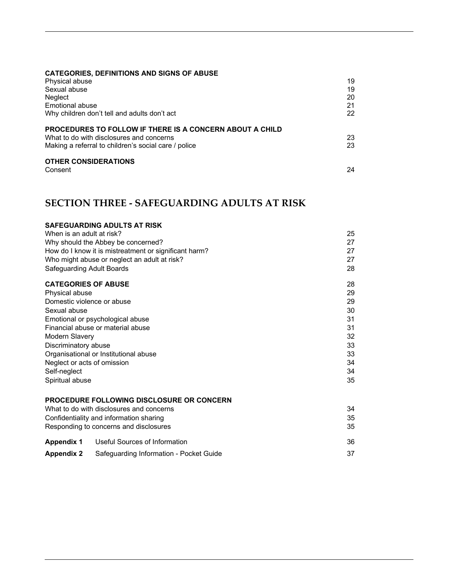## **CATEGORIES, DEFINITIONS AND SIGNS OF ABUSE**

| Physical abuse                                                  | 19 |
|-----------------------------------------------------------------|----|
| Sexual abuse                                                    | 19 |
| Neglect                                                         | 20 |
| Emotional abuse                                                 | 21 |
| Why children don't tell and adults don't act                    | 22 |
| <b>PROCEDURES TO FOLLOW IF THERE IS A CONCERN ABOUT A CHILD</b> |    |
| What to do with disclosures and concerns                        | 23 |
| Making a referral to children's social care / police            | 23 |
| <b>OTHER CONSIDERATIONS</b>                                     |    |
| Consent                                                         | 24 |

## **SECTION THREE - SAFEGUARDING ADULTS AT RISK**

|                                                                                                                                                                                         | SAFEGUARDING ADULTS AT RISK                           |    |
|-----------------------------------------------------------------------------------------------------------------------------------------------------------------------------------------|-------------------------------------------------------|----|
| When is an adult at risk?                                                                                                                                                               |                                                       | 25 |
|                                                                                                                                                                                         | Why should the Abbey be concerned?                    | 27 |
|                                                                                                                                                                                         | How do I know it is mistreatment or significant harm? | 27 |
|                                                                                                                                                                                         | Who might abuse or neglect an adult at risk?          | 27 |
| Safeguarding Adult Boards                                                                                                                                                               |                                                       | 28 |
| <b>CATEGORIES OF ABUSE</b>                                                                                                                                                              |                                                       | 28 |
| Physical abuse                                                                                                                                                                          |                                                       | 29 |
| Domestic violence or abuse                                                                                                                                                              |                                                       | 29 |
| Sexual abuse                                                                                                                                                                            |                                                       | 30 |
| Emotional or psychological abuse<br>Financial abuse or material abuse<br>Modern Slavery<br>Discriminatory abuse<br>Organisational or Institutional abuse<br>Neglect or acts of omission |                                                       | 31 |
|                                                                                                                                                                                         |                                                       | 31 |
|                                                                                                                                                                                         |                                                       | 32 |
|                                                                                                                                                                                         |                                                       | 33 |
|                                                                                                                                                                                         |                                                       | 33 |
|                                                                                                                                                                                         |                                                       | 34 |
| Self-neglect                                                                                                                                                                            |                                                       | 34 |
| Spiritual abuse                                                                                                                                                                         |                                                       | 35 |
|                                                                                                                                                                                         | <b>PROCEDURE FOLLOWING DISCLOSURE OR CONCERN</b>      |    |
|                                                                                                                                                                                         | What to do with disclosures and concerns              | 34 |
| Confidentiality and information sharing                                                                                                                                                 |                                                       | 35 |
|                                                                                                                                                                                         | Responding to concerns and disclosures                | 35 |
| <b>Appendix 1</b>                                                                                                                                                                       | Useful Sources of Information                         | 36 |
| <b>Appendix 2</b>                                                                                                                                                                       | Safeguarding Information - Pocket Guide               | 37 |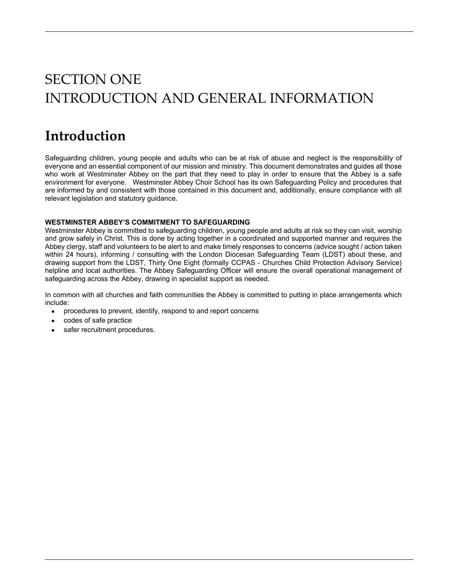# SECTION ONE INTRODUCTION AND GENERAL INFORMATION

## **Introduction**

Safeguarding children, young people and adults who can be at risk of abuse and neglect is the responsibility of everyone and an essential component of our mission and ministry. This document demonstrates and guides all those who work at Westminster Abbey on the part that they need to play in order to ensure that the Abbey is a safe environment for everyone. Westminster Abbey Choir School has its own Safeguarding Policy and procedures that are informed by and consistent with those contained in this document and, additionally, ensure compliance with all relevant legislation and statutory guidance.

## **WESTMINSTER ABBEY'S COMMITMENT TO SAFEGUARDING**

Westminster Abbey is committed to safeguarding children, young people and adults at risk so they can visit, worship and grow safely in Christ. This is done by acting together in a coordinated and supported manner and requires the Abbey clergy, staff and volunteers to be alert to and make timely responses to concerns (advice sought / action taken within 24 hours), informing / consulting with the London Diocesan Safeguarding Team (LDST) about these, and drawing support from the LDST, Thirty One Eight (formally CCPAS - Churches Child Protection Advisory Service) helpline and local authorities. The Abbey Safeguarding Officer will ensure the overall operational management of safeguarding across the Abbey, drawing in specialist support as needed.

In common with all churches and faith communities the Abbey is committed to putting in place arrangements which include:

- procedures to prevent, identify, respond to and report concerns
- codes of safe practice
- safer recruitment procedures.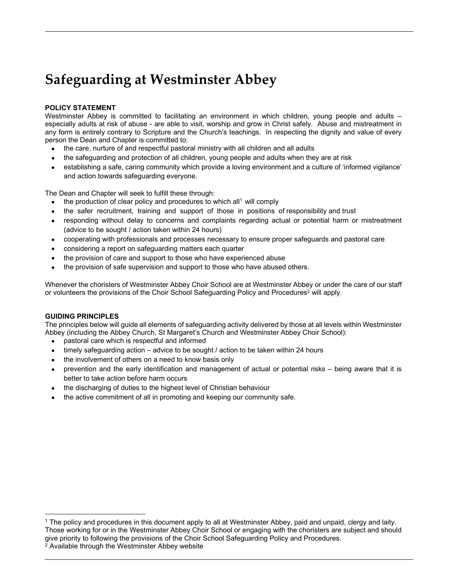## **Safeguarding at Westminster Abbey**

## **POLICY STATEMENT**

Westminster Abbey is committed to facilitating an environment in which children, young people and adults especially adults at risk of abuse - are able to visit, worship and grow in Christ safely. Abuse and mistreatment in any form is entirely contrary to Scripture and the Church's teachings. In respecting the dignity and value of every person the Dean and Chapter is committed to:

- the care, nurture of and respectful pastoral ministry with all children and all adults
- the safeguarding and protection of all children, young people and adults when they are at risk
- establishing a safe, caring community which provide a loving environment and a culture of 'informed vigilance' and action towards safeguarding everyone.

The Dean and Chapter will seek to fulfill these through:

- the production of clear policy and procedures to which all<sup>1</sup> will comply
- the safer recruitment, training and support of those in positions of responsibility and trust
- responding without delay to concerns and complaints regarding actual or potential harm or mistreatment (advice to be sought / action taken within 24 hours)
- cooperating with professionals and processes necessary to ensure proper safeguards and pastoral care
- considering a report on safeguarding matters each quarter
- the provision of care and support to those who have experienced abuse
- the provision of safe supervision and support to those who have abused others.

Whenever the choristers of Westminster Abbey Choir School are at Westminster Abbey or under the care of our staff or volunteers the provisions of the Choir School Safeguarding Policy and Procedures<sup>2</sup> will apply.

## **GUIDING PRINCIPLES**

 $\overline{a}$ 

The principles below will guide all elements of safeguarding activity delivered by those at all levels within Westminster Abbey (including the Abbey Church, St Margaret's Church and Westminster Abbey Choir School):

- pastoral care which is respectful and informed
- timely safeguarding action advice to be sought / action to be taken within 24 hours
- the involvement of others on a need to know basis only
- prevention and the early identification and management of actual or potential risks being aware that it is better to take action before harm occurs
- the discharging of duties to the highest level of Christian behaviour
- the active commitment of all in promoting and keeping our community safe.

<sup>1</sup> The policy and procedures in this document apply to all at Westminster Abbey, paid and unpaid, clergy and laity. Those working for or in the Westminster Abbey Choir School or engaging with the choristers are subject and should give priority to following the provisions of the Choir School Safeguarding Policy and Procedures.<br><sup>2</sup> Available through the Westminster Abbey website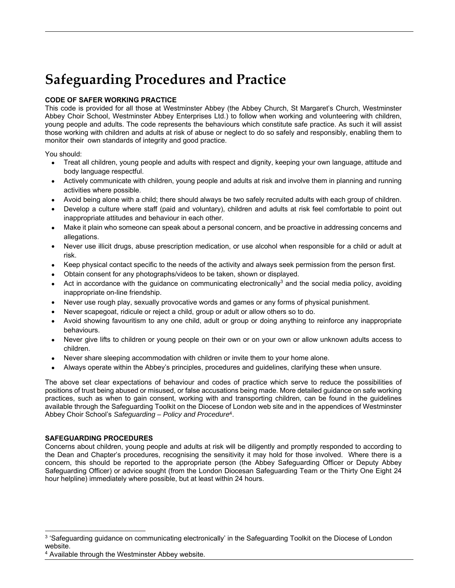## **Safeguarding Procedures and Practice**

## **CODE OF SAFER WORKING PRACTICE**

This code is provided for all those at Westminster Abbey (the Abbey Church, St Margaret's Church, Westminster Abbey Choir School, Westminster Abbey Enterprises Ltd.) to follow when working and volunteering with children, young people and adults. The code represents the behaviours which constitute safe practice. As such it will assist those working with children and adults at risk of abuse or neglect to do so safely and responsibly, enabling them to monitor their own standards of integrity and good practice.

You should:

- Treat all children, young people and adults with respect and dignity, keeping your own language, attitude and body language respectful.
- Actively communicate with children, young people and adults at risk and involve them in planning and running activities where possible.
- Avoid being alone with a child; there should always be two safely recruited adults with each group of children.
- Develop a culture where staff (paid and voluntary), children and adults at risk feel comfortable to point out inappropriate attitudes and behaviour in each other.
- Make it plain who someone can speak about a personal concern, and be proactive in addressing concerns and allegations.
- Never use illicit drugs, abuse prescription medication, or use alcohol when responsible for a child or adult at risk.
- Keep physical contact specific to the needs of the activity and always seek permission from the person first.
- Obtain consent for any photographs/videos to be taken, shown or displayed.
- Act in accordance with the guidance on communicating electronically<sup>3</sup> and the social media policy, avoiding inappropriate on-line friendship.
- Never use rough play, sexually provocative words and games or any forms of physical punishment.
- Never scapegoat, ridicule or reject a child, group or adult or allow others so to do.
- Avoid showing favouritism to any one child, adult or group or doing anything to reinforce any inappropriate behaviours.
- Never give lifts to children or young people on their own or on your own or allow unknown adults access to children.
- Never share sleeping accommodation with children or invite them to your home alone.
- Always operate within the Abbey's principles, procedures and guidelines, clarifying these when unsure.

The above set clear expectations of behaviour and codes of practice which serve to reduce the possibilities of positions of trust being abused or misused, or false accusations being made. More detailed guidance on safe working practices, such as when to gain consent, working with and transporting children, can be found in the guidelines available through the Safeguarding Toolkit on the Diocese of London web site and in the appendices of Westminster Abbey Choir School's *Safeguarding – Policy and Procedure*4.

## **SAFEGUARDING PROCEDURES**

 $\overline{a}$ 

Concerns about children, young people and adults at risk will be diligently and promptly responded to according to the Dean and Chapter's procedures, recognising the sensitivity it may hold for those involved. Where there is a concern, this should be reported to the appropriate person (the Abbey Safeguarding Officer or Deputy Abbey Safeguarding Officer) or advice sought (from the London Diocesan Safeguarding Team or the Thirty One Eight 24 hour helpline) immediately where possible, but at least within 24 hours.

<sup>3 &#</sup>x27;Safeguarding guidance on communicating electronically' in the Safeguarding Toolkit on the Diocese of London website.

<sup>4</sup> Available through the Westminster Abbey website.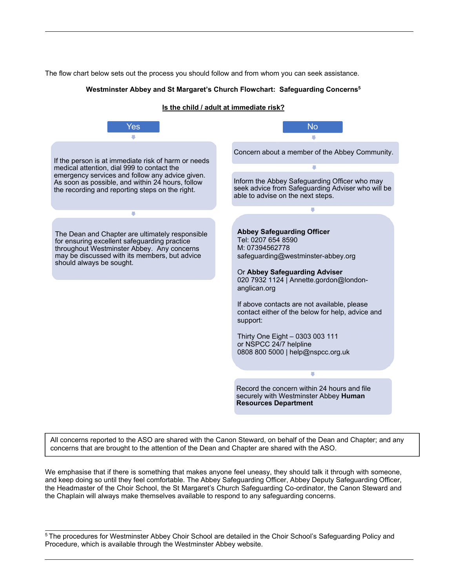The flow chart below sets out the process you should follow and from whom you can seek assistance.

#### **Westminster Abbey and St Margaret's Church Flowchart: Safeguarding Concerns5**

#### **Is the child / adult at immediate risk?**



All concerns reported to the ASO are shared with the Canon Steward, on behalf of the Dean and Chapter; and any concerns that are brought to the attention of the Dean and Chapter are shared with the ASO.

We emphasise that if there is something that makes anyone feel uneasy, they should talk it through with someone, and keep doing so until they feel comfortable. The Abbey Safeguarding Officer, Abbey Deputy Safeguarding Officer, the Headmaster of the Choir School, the St Margaret's Church Safeguarding Co-ordinator, the Canon Steward and the Chaplain will always make themselves available to respond to any safeguarding concerns.

<sup>5</sup> The procedures for Westminster Abbey Choir School are detailed in the Choir School's Safeguarding Policy and Procedure, which is available through the Westminster Abbey website.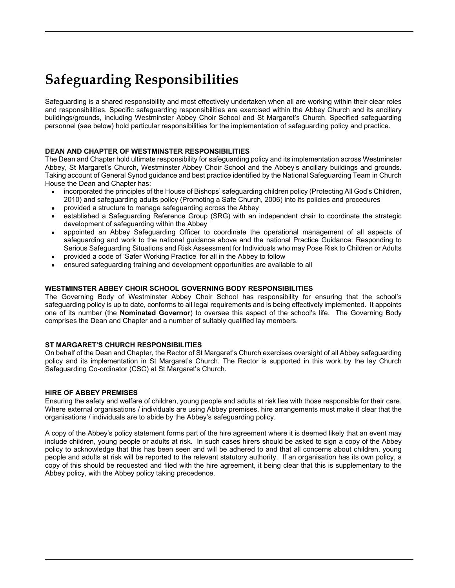## **Safeguarding Responsibilities**

Safeguarding is a shared responsibility and most effectively undertaken when all are working within their clear roles and responsibilities. Specific safeguarding responsibilities are exercised within the Abbey Church and its ancillary buildings/grounds, including Westminster Abbey Choir School and St Margaret's Church. Specified safeguarding personnel (see below) hold particular responsibilities for the implementation of safeguarding policy and practice.

## **DEAN AND CHAPTER OF WESTMINSTER RESPONSIBILITIES**

The Dean and Chapter hold ultimate responsibility for safeguarding policy and its implementation across Westminster Abbey, St Margaret's Church, Westminster Abbey Choir School and the Abbey's ancillary buildings and grounds. Taking account of General Synod guidance and best practice identified by the National Safeguarding Team in Church House the Dean and Chapter has:

- incorporated the principles of the House of Bishops' safeguarding children policy (Protecting All God's Children, 2010) and safeguarding adults policy (Promoting a Safe Church, 2006) into its policies and procedures
- provided a structure to manage safeguarding across the Abbey
- established a Safeguarding Reference Group (SRG) with an independent chair to coordinate the strategic development of safeguarding within the Abbey
- appointed an Abbey Safeguarding Officer to coordinate the operational management of all aspects of safeguarding and work to the national guidance above and the national Practice Guidance: Responding to Serious Safeguarding Situations and Risk Assessment for Individuals who may Pose Risk to Children or Adults
- provided a code of 'Safer Working Practice' for all in the Abbey to follow
- ensured safeguarding training and development opportunities are available to all

### **WESTMINSTER ABBEY CHOIR SCHOOL GOVERNING BODY RESPONSIBILITIES**

The Governing Body of Westminster Abbey Choir School has responsibility for ensuring that the school's safeguarding policy is up to date, conforms to all legal requirements and is being effectively implemented. It appoints one of its number (the **Nominated Governor**) to oversee this aspect of the school's life. The Governing Body comprises the Dean and Chapter and a number of suitably qualified lay members.

## **ST MARGARET'S CHURCH RESPONSIBILITIES**

On behalf of the Dean and Chapter, the Rector of St Margaret's Church exercises oversight of all Abbey safeguarding policy and its implementation in St Margaret's Church. The Rector is supported in this work by the lay Church Safeguarding Co-ordinator (CSC) at St Margaret's Church.

#### **HIRE OF ABBEY PREMISES**

Ensuring the safety and welfare of children, young people and adults at risk lies with those responsible for their care. Where external organisations / individuals are using Abbey premises, hire arrangements must make it clear that the organisations / individuals are to abide by the Abbey's safeguarding policy.

A copy of the Abbey's policy statement forms part of the hire agreement where it is deemed likely that an event may include children, young people or adults at risk. In such cases hirers should be asked to sign a copy of the Abbey policy to acknowledge that this has been seen and will be adhered to and that all concerns about children, young people and adults at risk will be reported to the relevant statutory authority. If an organisation has its own policy, a copy of this should be requested and filed with the hire agreement, it being clear that this is supplementary to the Abbey policy, with the Abbey policy taking precedence.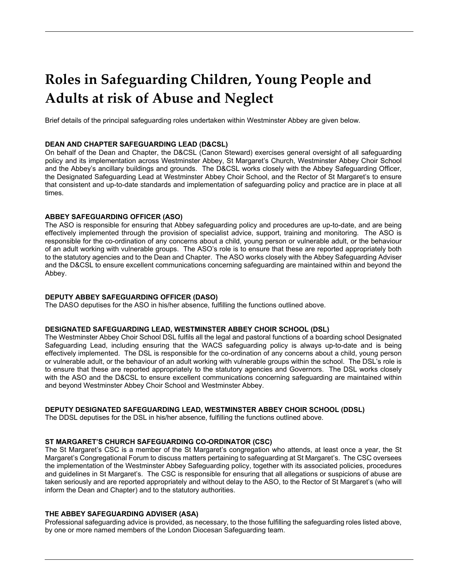## **Roles in Safeguarding Children, Young People and Adults at risk of Abuse and Neglect**

Brief details of the principal safeguarding roles undertaken within Westminster Abbey are given below.

#### **DEAN AND CHAPTER SAFEGUARDING LEAD (D&CSL)**

On behalf of the Dean and Chapter, the D&CSL (Canon Steward) exercises general oversight of all safeguarding policy and its implementation across Westminster Abbey, St Margaret's Church, Westminster Abbey Choir School and the Abbey's ancillary buildings and grounds. The D&CSL works closely with the Abbey Safeguarding Officer, the Designated Safeguarding Lead at Westminster Abbey Choir School, and the Rector of St Margaret's to ensure that consistent and up-to-date standards and implementation of safeguarding policy and practice are in place at all times.

### **ABBEY SAFEGUARDING OFFICER (ASO)**

The ASO is responsible for ensuring that Abbey safeguarding policy and procedures are up-to-date, and are being effectively implemented through the provision of specialist advice, support, training and monitoring. The ASO is responsible for the co-ordination of any concerns about a child, young person or vulnerable adult, or the behaviour of an adult working with vulnerable groups. The ASO's role is to ensure that these are reported appropriately both to the statutory agencies and to the Dean and Chapter. The ASO works closely with the Abbey Safeguarding Adviser and the D&CSL to ensure excellent communications concerning safeguarding are maintained within and beyond the Abbey.

#### **DEPUTY ABBEY SAFEGUARDING OFFICER (DASO)**

The DASO deputises for the ASO in his/her absence, fulfilling the functions outlined above.

#### **DESIGNATED SAFEGUARDING LEAD, WESTMINSTER ABBEY CHOIR SCHOOL (DSL)**

The Westminster Abbey Choir School DSL fulfils all the legal and pastoral functions of a boarding school Designated Safeguarding Lead, including ensuring that the WACS safeguarding policy is always up-to-date and is being effectively implemented. The DSL is responsible for the co-ordination of any concerns about a child, young person or vulnerable adult, or the behaviour of an adult working with vulnerable groups within the school. The DSL's role is to ensure that these are reported appropriately to the statutory agencies and Governors. The DSL works closely with the ASO and the D&CSL to ensure excellent communications concerning safeguarding are maintained within and beyond Westminster Abbey Choir School and Westminster Abbey.

#### **DEPUTY DESIGNATED SAFEGUARDING LEAD, WESTMINSTER ABBEY CHOIR SCHOOL (DDSL)**

The DDSL deputises for the DSL in his/her absence, fulfilling the functions outlined above.

#### **ST MARGARET'S CHURCH SAFEGUARDING CO-ORDINATOR (CSC)**

The St Margaret's CSC is a member of the St Margaret's congregation who attends, at least once a year, the St Margaret's Congregational Forum to discuss matters pertaining to safeguarding at St Margaret's. The CSC oversees the implementation of the Westminster Abbey Safeguarding policy, together with its associated policies, procedures and guidelines in St Margaret's. The CSC is responsible for ensuring that all allegations or suspicions of abuse are taken seriously and are reported appropriately and without delay to the ASO, to the Rector of St Margaret's (who will inform the Dean and Chapter) and to the statutory authorities.

#### **THE ABBEY SAFEGUARDING ADVISER (ASA)**

Professional safeguarding advice is provided, as necessary, to the those fulfilling the safeguarding roles listed above, by one or more named members of the London Diocesan Safeguarding team.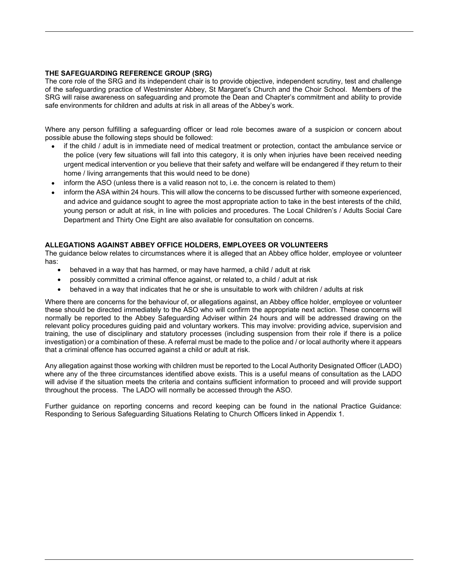### **THE SAFEGUARDING REFERENCE GROUP (SRG)**

The core role of the SRG and its independent chair is to provide objective, independent scrutiny, test and challenge of the safeguarding practice of Westminster Abbey, St Margaret's Church and the Choir School. Members of the SRG will raise awareness on safeguarding and promote the Dean and Chapter's commitment and ability to provide safe environments for children and adults at risk in all areas of the Abbey's work.

Where any person fulfilling a safeguarding officer or lead role becomes aware of a suspicion or concern about possible abuse the following steps should be followed:

- if the child / adult is in immediate need of medical treatment or protection, contact the ambulance service or the police (very few situations will fall into this category, it is only when injuries have been received needing urgent medical intervention or you believe that their safety and welfare will be endangered if they return to their home / living arrangements that this would need to be done)
- inform the ASO (unless there is a valid reason not to, i.e. the concern is related to them)
- inform the ASA within 24 hours. This will allow the concerns to be discussed further with someone experienced, and advice and guidance sought to agree the most appropriate action to take in the best interests of the child, young person or adult at risk, in line with policies and procedures. The Local Children's / Adults Social Care Department and Thirty One Eight are also available for consultation on concerns.

### **ALLEGATIONS AGAINST ABBEY OFFICE HOLDERS, EMPLOYEES OR VOLUNTEERS**

The guidance below relates to circumstances where it is alleged that an Abbey office holder, employee or volunteer has:

- behaved in a way that has harmed, or may have harmed, a child / adult at risk
- possibly committed a criminal offence against, or related to, a child / adult at risk
- behaved in a way that indicates that he or she is unsuitable to work with children / adults at risk

Where there are concerns for the behaviour of, or allegations against, an Abbey office holder, employee or volunteer these should be directed immediately to the ASO who will confirm the appropriate next action. These concerns will normally be reported to the Abbey Safeguarding Adviser within 24 hours and will be addressed drawing on the relevant policy procedures guiding paid and voluntary workers. This may involve: providing advice, supervision and training, the use of disciplinary and statutory processes (including suspension from their role if there is a police investigation) or a combination of these. A referral must be made to the police and / or local authority where it appears that a criminal offence has occurred against a child or adult at risk.

Any allegation against those working with children must be reported to the Local Authority Designated Officer (LADO) where any of the three circumstances identified above exists. This is a useful means of consultation as the LADO will advise if the situation meets the criteria and contains sufficient information to proceed and will provide support throughout the process. The LADO will normally be accessed through the ASO.

Further guidance on reporting concerns and record keeping can be found in the national Practice Guidance: Responding to Serious Safeguarding Situations Relating to Church Officers linked in Appendix 1.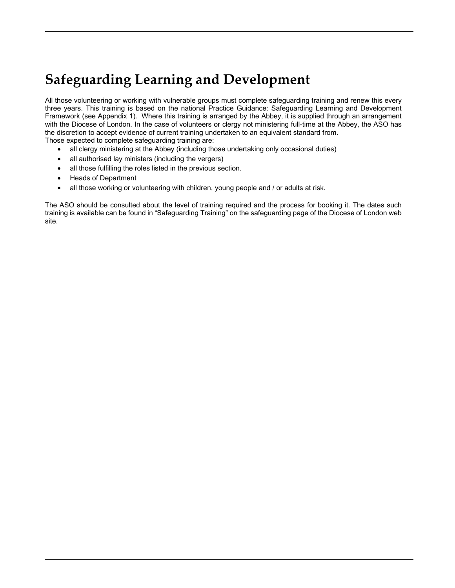## **Safeguarding Learning and Development**

All those volunteering or working with vulnerable groups must complete safeguarding training and renew this every three years. This training is based on the national Practice Guidance: Safeguarding Learning and Development Framework (see Appendix 1). Where this training is arranged by the Abbey, it is supplied through an arrangement with the Diocese of London. In the case of volunteers or clergy not ministering full-time at the Abbey, the ASO has the discretion to accept evidence of current training undertaken to an equivalent standard from.

Those expected to complete safeguarding training are:

- all clergy ministering at the Abbey (including those undertaking only occasional duties)
- all authorised lay ministers (including the vergers)
- all those fulfilling the roles listed in the previous section.
- Heads of Department
- all those working or volunteering with children, young people and / or adults at risk.

The ASO should be consulted about the level of training required and the process for booking it. The dates such training is available can be found in "Safeguarding Training" on the safeguarding page of the Diocese of London web site.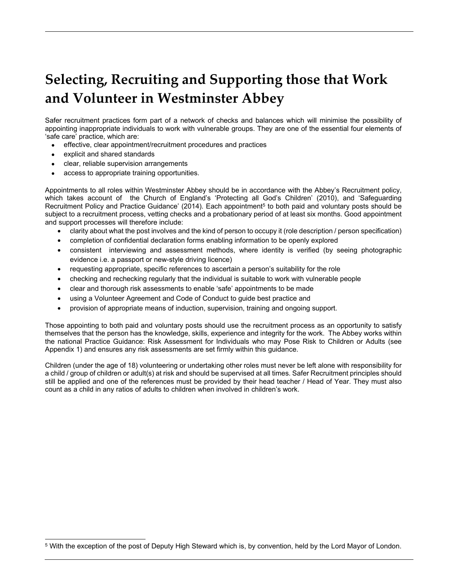## **Selecting, Recruiting and Supporting those that Work and Volunteer in Westminster Abbey**

Safer recruitment practices form part of a network of checks and balances which will minimise the possibility of appointing inappropriate individuals to work with vulnerable groups. They are one of the essential four elements of 'safe care' practice, which are:

- effective, clear appointment/recruitment procedures and practices
- explicit and shared standards

 $\overline{a}$ 

- clear, reliable supervision arrangements
- access to appropriate training opportunities.

Appointments to all roles within Westminster Abbey should be in accordance with the Abbey's Recruitment policy, which takes account of the Church of England's 'Protecting all God's Children' (2010), and 'Safeguarding Recruitment Policy and Practice Guidance' (2014). Each appointment<sup>5</sup> to both paid and voluntary posts should be subject to a recruitment process, vetting checks and a probationary period of at least six months. Good appointment and support processes will therefore include:

- clarity about what the post involves and the kind of person to occupy it (role description / person specification)
- completion of confidential declaration forms enabling information to be openly explored
- consistent interviewing and assessment methods, where identity is verified (by seeing photographic evidence i.e. a passport or new-style driving licence)
- requesting appropriate, specific references to ascertain a person's suitability for the role
- checking and rechecking regularly that the individual is suitable to work with vulnerable people
- clear and thorough risk assessments to enable 'safe' appointments to be made
- using a Volunteer Agreement and Code of Conduct to guide best practice and
- provision of appropriate means of induction, supervision, training and ongoing support.

Those appointing to both paid and voluntary posts should use the recruitment process as an opportunity to satisfy themselves that the person has the knowledge, skills, experience and integrity for the work. The Abbey works within the national Practice Guidance: Risk Assessment for Individuals who may Pose Risk to Children or Adults (see Appendix 1) and ensures any risk assessments are set firmly within this guidance.

Children (under the age of 18) volunteering or undertaking other roles must never be left alone with responsibility for a child / group of children or adult(s) at risk and should be supervised at all times. Safer Recruitment principles should still be applied and one of the references must be provided by their head teacher / Head of Year. They must also count as a child in any ratios of adults to children when involved in children's work.

<sup>5</sup> With the exception of the post of Deputy High Steward which is, by convention, held by the Lord Mayor of London.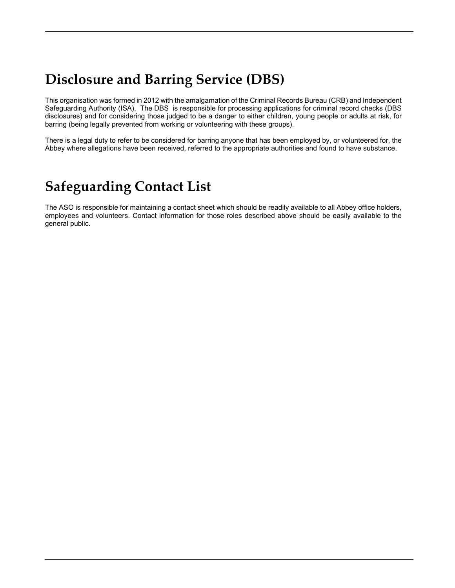## **Disclosure and Barring Service (DBS)**

This organisation was formed in 2012 with the amalgamation of the Criminal Records Bureau (CRB) and Independent Safeguarding Authority (ISA). The DBS is responsible for processing applications for criminal record checks (DBS disclosures) and for considering those judged to be a danger to either children, young people or adults at risk, for barring (being legally prevented from working or volunteering with these groups).

There is a legal duty to refer to be considered for barring anyone that has been employed by, or volunteered for, the Abbey where allegations have been received, referred to the appropriate authorities and found to have substance.

## **Safeguarding Contact List**

The ASO is responsible for maintaining a contact sheet which should be readily available to all Abbey office holders, employees and volunteers. Contact information for those roles described above should be easily available to the general public.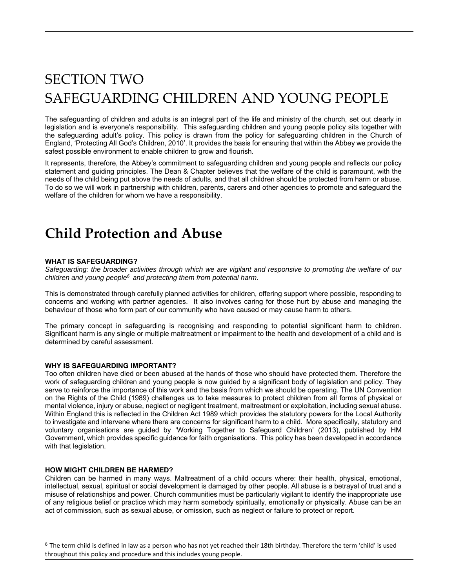# SECTION TWO SAFEGUARDING CHILDREN AND YOUNG PEOPLE

The safeguarding of children and adults is an integral part of the life and ministry of the church, set out clearly in legislation and is everyone's responsibility. This safeguarding children and young people policy sits together with the safeguarding adult's policy. This policy is drawn from the policy for safeguarding children in the Church of England, 'Protecting All God's Children, 2010'. It provides the basis for ensuring that within the Abbey we provide the safest possible environment to enable children to grow and flourish.

It represents, therefore, the Abbey's commitment to safeguarding children and young people and reflects our policy statement and guiding principles. The Dean & Chapter believes that the welfare of the child is paramount, with the needs of the child being put above the needs of adults, and that all children should be protected from harm or abuse. To do so we will work in partnership with children, parents, carers and other agencies to promote and safeguard the welfare of the children for whom we have a responsibility.

## **Child Protection and Abuse**

### **WHAT IS SAFEGUARDING?**

*Safeguarding: the broader activities through which we are vigilant and responsive to promoting the welfare of our children and young people6 and protecting them from potential harm*.

This is demonstrated through carefully planned activities for children, offering support where possible, responding to concerns and working with partner agencies. It also involves caring for those hurt by abuse and managing the behaviour of those who form part of our community who have caused or may cause harm to others.

The primary concept in safeguarding is recognising and responding to potential significant harm to children. Significant harm is any single or multiple maltreatment or impairment to the health and development of a child and is determined by careful assessment.

#### **WHY IS SAFEGUARDING IMPORTANT?**

Too often children have died or been abused at the hands of those who should have protected them. Therefore the work of safeguarding children and young people is now guided by a significant body of legislation and policy. They serve to reinforce the importance of this work and the basis from which we should be operating. The UN Convention on the Rights of the Child (1989) challenges us to take measures to protect children from all forms of physical or mental violence, injury or abuse, neglect or negligent treatment, maltreatment or exploitation, including sexual abuse. Within England this is reflected in the Children Act 1989 which provides the statutory powers for the Local Authority to investigate and intervene where there are concerns for significant harm to a child. More specifically, statutory and voluntary organisations are guided by 'Working Together to Safeguard Children' (2013), published by HM Government, which provides specific guidance for faith organisations. This policy has been developed in accordance with that legislation.

### **HOW MIGHT CHILDREN BE HARMED?**

l

Children can be harmed in many ways. Maltreatment of a child occurs where: their health, physical, emotional, intellectual, sexual, spiritual or social development is damaged by other people. All abuse is a betrayal of trust and a misuse of relationships and power. Church communities must be particularly vigilant to identify the inappropriate use of any religious belief or practice which may harm somebody spiritually, emotionally or physically. Abuse can be an act of commission, such as sexual abuse, or omission, such as neglect or failure to protect or report.

 $6$  The term child is defined in law as a person who has not yet reached their 18th birthday. Therefore the term 'child' is used throughout this policy and procedure and this includes young people.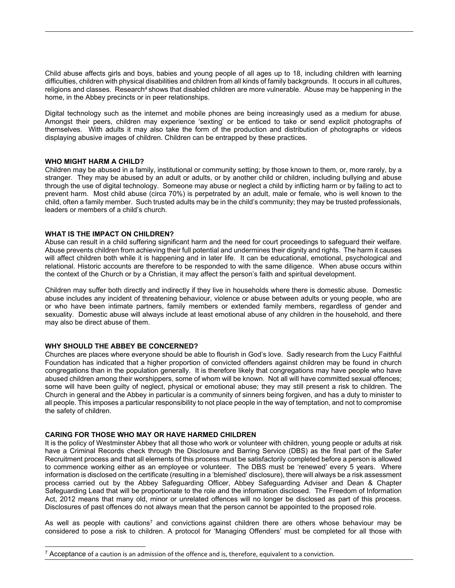Child abuse affects girls and boys, babies and young people of all ages up to 18, including children with learning difficulties, children with physical disabilities and children from all kinds of family backgrounds. It occurs in all cultures, religions and classes. Research<sup>4</sup> shows that disabled children are more vulnerable. Abuse may be happening in the home, in the Abbey precincts or in peer relationships.

Digital technology such as the internet and mobile phones are being increasingly used as a medium for abuse. Amongst their peers, children may experience 'sexting' or be enticed to take or send explicit photographs of themselves. With adults it may also take the form of the production and distribution of photographs or videos displaying abusive images of children. Children can be entrapped by these practices.

### **WHO MIGHT HARM A CHILD?**

Children may be abused in a family, institutional or community setting; by those known to them, or, more rarely, by a stranger. They may be abused by an adult or adults, or by another child or children, including bullying and abuse through the use of digital technology. Someone may abuse or neglect a child by inflicting harm or by failing to act to prevent harm. Most child abuse (circa 70%) is perpetrated by an adult, male or female, who is well known to the child, often a family member. Such trusted adults may be in the child's community; they may be trusted professionals, leaders or members of a child's church.

### **WHAT IS THE IMPACT ON CHILDREN?**

Abuse can result in a child suffering significant harm and the need for court proceedings to safeguard their welfare. Abuse prevents children from achieving their full potential and undermines their dignity and rights. The harm it causes will affect children both while it is happening and in later life. It can be educational, emotional, psychological and relational. Historic accounts are therefore to be responded to with the same diligence. When abuse occurs within the context of the Church or by a Christian, it may affect the person's faith and spiritual development.

Children may suffer both directly and indirectly if they live in households where there is domestic abuse. Domestic abuse includes any incident of threatening behaviour, violence or abuse between adults or young people, who are or who have been intimate partners, family members or extended family members, regardless of gender and sexuality. Domestic abuse will always include at least emotional abuse of any children in the household, and there may also be direct abuse of them.

#### **WHY SHOULD THE ABBEY BE CONCERNED?**

 $\overline{a}$ 

Churches are places where everyone should be able to flourish in God's love. Sadly research from the Lucy Faithful Foundation has indicated that a higher proportion of convicted offenders against children may be found in church congregations than in the population generally. It is therefore likely that congregations may have people who have abused children among their worshippers, some of whom will be known. Not all will have committed sexual offences; some will have been guilty of neglect, physical or emotional abuse; they may still present a risk to children. The Church in general and the Abbey in particular is a community of sinners being forgiven, and has a duty to minister to all people. This imposes a particular responsibility to not place people in the way of temptation, and not to compromise the safety of children.

#### **CARING FOR THOSE WHO MAY OR HAVE HARMED CHILDREN**

It is the policy of Westminster Abbey that all those who work or volunteer with children, young people or adults at risk have a Criminal Records check through the Disclosure and Barring Service (DBS) as the final part of the Safer Recruitment process and that all elements of this process must be satisfactorily completed before a person is allowed to commence working either as an employee or volunteer. The DBS must be 'renewed' every 5 years. Where information is disclosed on the certificate (resulting in a 'blemished' disclosure), there will always be a risk assessment process carried out by the Abbey Safeguarding Officer, Abbey Safeguarding Adviser and Dean & Chapter Safeguarding Lead that will be proportionate to the role and the information disclosed. The Freedom of Information Act, 2012 means that many old, minor or unrelated offences will no longer be disclosed as part of this process. Disclosures of past offences do not always mean that the person cannot be appointed to the proposed role.

As well as people with cautions<sup>7</sup> and convictions against children there are others whose behaviour may be considered to pose a risk to children. A protocol for 'Managing Offenders' must be completed for all those with

 $7$  Acceptance of a caution is an admission of the offence and is, therefore, equivalent to a conviction.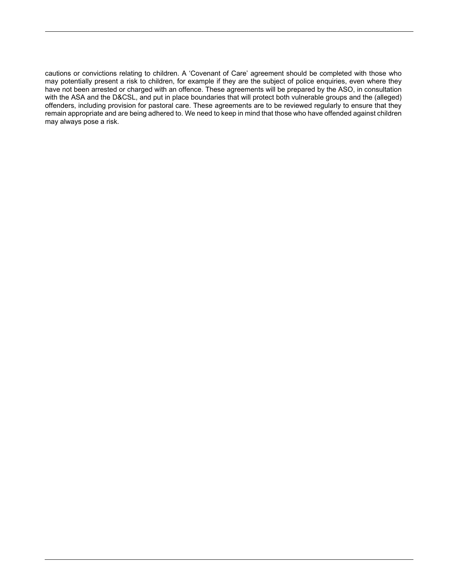cautions or convictions relating to children. A 'Covenant of Care' agreement should be completed with those who may potentially present a risk to children, for example if they are the subject of police enquiries, even where they have not been arrested or charged with an offence. These agreements will be prepared by the ASO, in consultation with the ASA and the D&CSL, and put in place boundaries that will protect both vulnerable groups and the (alleged) offenders, including provision for pastoral care. These agreements are to be reviewed regularly to ensure that they remain appropriate and are being adhered to. We need to keep in mind that those who have offended against children may always pose a risk.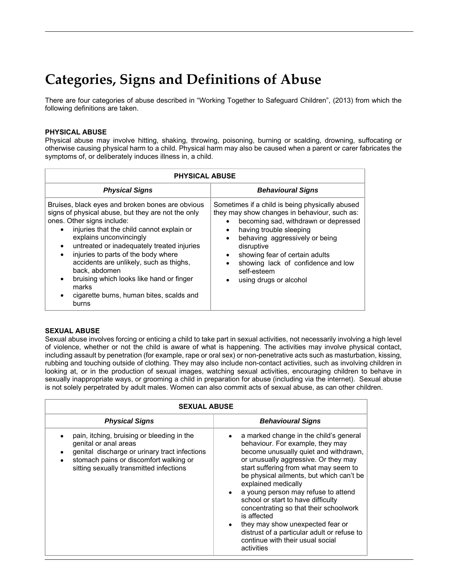## **Categories, Signs and Definitions of Abuse**

There are four categories of abuse described in "Working Together to Safeguard Children", (2013) from which the following definitions are taken.

### **PHYSICAL ABUSE**

Physical abuse may involve hitting, shaking, throwing, poisoning, burning or scalding, drowning, suffocating or otherwise causing physical harm to a child. Physical harm may also be caused when a parent or carer fabricates the symptoms of, or deliberately induces illness in, a child.

| <b>PHYSICAL ABUSE</b>                                                                                                                                                                                                                                                                                                                                                                                                                                                   |                                                                                                                                                                                                                                                                                                                                                                                 |
|-------------------------------------------------------------------------------------------------------------------------------------------------------------------------------------------------------------------------------------------------------------------------------------------------------------------------------------------------------------------------------------------------------------------------------------------------------------------------|---------------------------------------------------------------------------------------------------------------------------------------------------------------------------------------------------------------------------------------------------------------------------------------------------------------------------------------------------------------------------------|
| <b>Physical Signs</b>                                                                                                                                                                                                                                                                                                                                                                                                                                                   | <b>Behavioural Signs</b>                                                                                                                                                                                                                                                                                                                                                        |
| Bruises, black eyes and broken bones are obvious<br>signs of physical abuse, but they are not the only<br>ones. Other signs include:<br>injuries that the child cannot explain or<br>explains unconvincingly<br>untreated or inadequately treated injuries<br>injuries to parts of the body where<br>accidents are unlikely, such as thighs,<br>back, abdomen<br>bruising which looks like hand or finger<br>marks<br>cigarette burns, human bites, scalds and<br>burns | Sometimes if a child is being physically abused<br>they may show changes in behaviour, such as:<br>becoming sad, withdrawn or depressed<br>having trouble sleeping<br>٠<br>behaving aggressively or being<br>$\bullet$<br>disruptive<br>showing fear of certain adults<br>$\bullet$<br>showing lack of confidence and low<br>$\bullet$<br>self-esteem<br>using drugs or alcohol |

#### **SEXUAL ABUSE**

Sexual abuse involves forcing or enticing a child to take part in sexual activities, not necessarily involving a high level of violence, whether or not the child is aware of what is happening. The activities may involve physical contact, including assault by penetration (for example, rape or oral sex) or non-penetrative acts such as masturbation, kissing, rubbing and touching outside of clothing. They may also include non-contact activities, such as involving children in looking at, or in the production of sexual images, watching sexual activities, encouraging children to behave in sexually inappropriate ways, or grooming a child in preparation for abuse (including via the internet). Sexual abuse is not solely perpetrated by adult males. Women can also commit acts of sexual abuse, as can other children.

| <b>SEXUAL ABUSE</b>                                                                                                                                                                                       |                                                                                                                                                                                                                                                                                                                                                                                                                                                                                                                                                    |  |
|-----------------------------------------------------------------------------------------------------------------------------------------------------------------------------------------------------------|----------------------------------------------------------------------------------------------------------------------------------------------------------------------------------------------------------------------------------------------------------------------------------------------------------------------------------------------------------------------------------------------------------------------------------------------------------------------------------------------------------------------------------------------------|--|
| <b>Physical Signs</b>                                                                                                                                                                                     | <b>Behavioural Signs</b>                                                                                                                                                                                                                                                                                                                                                                                                                                                                                                                           |  |
| pain, itching, bruising or bleeding in the<br>genital or anal areas<br>genital discharge or urinary tract infections<br>stomach pains or discomfort walking or<br>sitting sexually transmitted infections | a marked change in the child's general<br>behaviour. For example, they may<br>become unusually quiet and withdrawn,<br>or unusually aggressive. Or they may<br>start suffering from what may seem to<br>be physical ailments, but which can't be<br>explained medically<br>a young person may refuse to attend<br>school or start to have difficulty<br>concentrating so that their schoolwork<br>is affected<br>they may show unexpected fear or<br>distrust of a particular adult or refuse to<br>continue with their usual social<br>activities |  |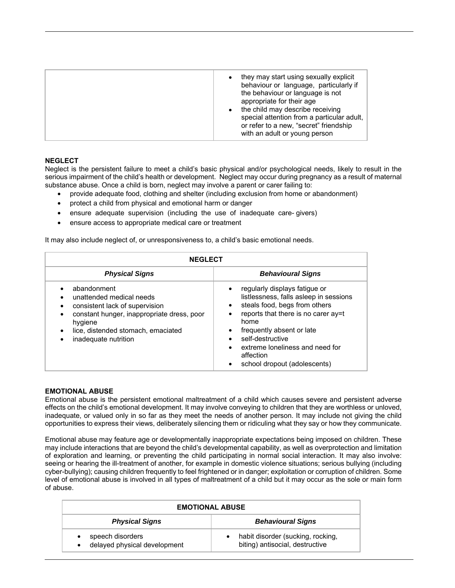|  | they may start using sexually explicit<br>$\bullet$<br>behaviour or language, particularly if<br>the behaviour or language is not<br>appropriate for their age<br>the child may describe receiving<br>special attention from a particular adult,<br>or refer to a new, "secret" friendship<br>with an adult or young person |
|--|-----------------------------------------------------------------------------------------------------------------------------------------------------------------------------------------------------------------------------------------------------------------------------------------------------------------------------|
|--|-----------------------------------------------------------------------------------------------------------------------------------------------------------------------------------------------------------------------------------------------------------------------------------------------------------------------------|

## **NEGLECT**

Neglect is the persistent failure to meet a child's basic physical and/or psychological needs, likely to result in the serious impairment of the child's health or development. Neglect may occur during pregnancy as a result of maternal substance abuse. Once a child is born, neglect may involve a parent or carer failing to:

- provide adequate food, clothing and shelter (including exclusion from home or abandonment)
- protect a child from physical and emotional harm or danger
- ensure adequate supervision (including the use of inadequate care-givers)
- ensure access to appropriate medical care or treatment

It may also include neglect of, or unresponsiveness to, a child's basic emotional needs.

| <b>NEGLECT</b>                                                                                                                                                                                                |                                                                                                                                                                                                                                                                                                                    |  |
|---------------------------------------------------------------------------------------------------------------------------------------------------------------------------------------------------------------|--------------------------------------------------------------------------------------------------------------------------------------------------------------------------------------------------------------------------------------------------------------------------------------------------------------------|--|
| <b>Physical Signs</b>                                                                                                                                                                                         | <b>Behavioural Signs</b>                                                                                                                                                                                                                                                                                           |  |
| abandonment<br>unattended medical needs<br>consistent lack of supervision<br>constant hunger, inappropriate dress, poor<br>$\bullet$<br>hygiene<br>lice, distended stomach, emaciated<br>inadequate nutrition | regularly displays fatigue or<br>listlessness, falls asleep in sessions<br>steals food, begs from others<br>$\bullet$<br>reports that there is no carer ay=t<br>home<br>frequently absent or late<br>self-destructive<br>extreme loneliness and need for<br>$\bullet$<br>affection<br>school dropout (adolescents) |  |

#### **EMOTIONAL ABUSE**

Emotional abuse is the persistent emotional maltreatment of a child which causes severe and persistent adverse effects on the child's emotional development. It may involve conveying to children that they are worthless or unloved, inadequate, or valued only in so far as they meet the needs of another person. It may include not giving the child opportunities to express their views, deliberately silencing them or ridiculing what they say or how they communicate.

Emotional abuse may feature age or developmentally inappropriate expectations being imposed on children. These may include interactions that are beyond the child's developmental capability, as well as overprotection and limitation of exploration and learning, or preventing the child participating in normal social interaction. It may also involve: seeing or hearing the ill-treatment of another, for example in domestic violence situations; serious bullying (including cyber-bullying); causing children frequently to feel frightened or in danger; exploitation or corruption of children. Some level of emotional abuse is involved in all types of maltreatment of a child but it may occur as the sole or main form of abuse.

| <b>EMOTIONAL ABUSE</b>                           |                                                                      |
|--------------------------------------------------|----------------------------------------------------------------------|
| <b>Physical Signs</b>                            | <b>Behavioural Signs</b>                                             |
| speech disorders<br>delayed physical development | habit disorder (sucking, rocking,<br>biting) antisocial, destructive |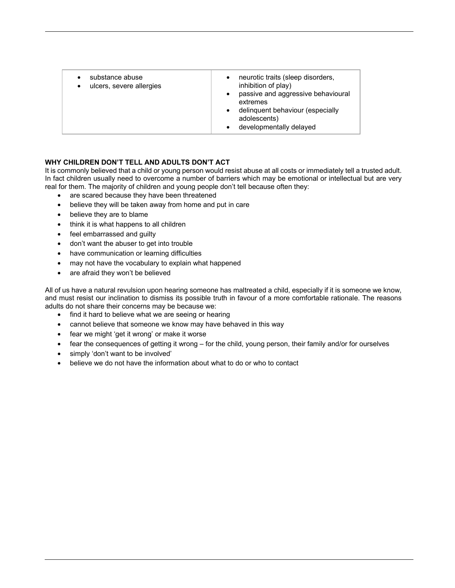| substance abuse<br>ulcers, severe allergies<br>$\bullet$ | neurotic traits (sleep disorders,<br>inhibition of play)<br>passive and aggressive behavioural<br>extremes<br>• delinquent behaviour (especially<br>adolescents)<br>developmentally delayed |
|----------------------------------------------------------|---------------------------------------------------------------------------------------------------------------------------------------------------------------------------------------------|
|----------------------------------------------------------|---------------------------------------------------------------------------------------------------------------------------------------------------------------------------------------------|

## **WHY CHILDREN DON'T TELL AND ADULTS DON'T ACT**

It is commonly believed that a child or young person would resist abuse at all costs or immediately tell a trusted adult. In fact children usually need to overcome a number of barriers which may be emotional or intellectual but are very real for them. The majority of children and young people don't tell because often they:

- are scared because they have been threatened
- believe they will be taken away from home and put in care
- believe they are to blame
- think it is what happens to all children
- feel embarrassed and guilty
- don't want the abuser to get into trouble
- have communication or learning difficulties
- may not have the vocabulary to explain what happened
- are afraid they won't be believed

All of us have a natural revulsion upon hearing someone has maltreated a child, especially if it is someone we know, and must resist our inclination to dismiss its possible truth in favour of a more comfortable rationale. The reasons adults do not share their concerns may be because we:

- find it hard to believe what we are seeing or hearing
- cannot believe that someone we know may have behaved in this way
- fear we might 'get it wrong' or make it worse
- fear the consequences of getting it wrong for the child, young person, their family and/or for ourselves
- simply 'don't want to be involved'
- believe we do not have the information about what to do or who to contact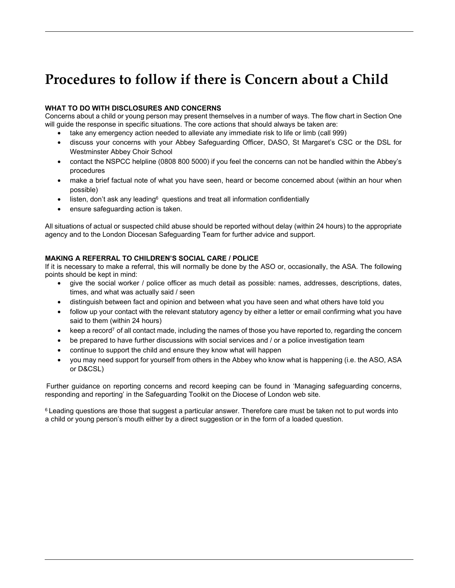## **Procedures to follow if there is Concern about a Child**

## **WHAT TO DO WITH DISCLOSURES AND CONCERNS**

Concerns about a child or young person may present themselves in a number of ways. The flow chart in Section One will guide the response in specific situations. The core actions that should always be taken are:

- take any emergency action needed to alleviate any immediate risk to life or limb (call 999)
- discuss your concerns with your Abbey Safeguarding Officer, DASO, St Margaret's CSC or the DSL for Westminster Abbey Choir School
- contact the NSPCC helpline (0808 800 5000) if you feel the concerns can not be handled within the Abbey's procedures
- make a brief factual note of what you have seen, heard or become concerned about (within an hour when possible)
- listen, don't ask any leading $6$  questions and treat all information confidentially
- ensure safeguarding action is taken.

All situations of actual or suspected child abuse should be reported without delay (within 24 hours) to the appropriate agency and to the London Diocesan Safeguarding Team for further advice and support.

## **MAKING A REFERRAL TO CHILDREN'S SOCIAL CARE / POLICE**

If it is necessary to make a referral, this will normally be done by the ASO or, occasionally, the ASA. The following points should be kept in mind:

- give the social worker / police officer as much detail as possible: names, addresses, descriptions, dates, times, and what was actually said / seen
- distinguish between fact and opinion and between what you have seen and what others have told you
- follow up your contact with the relevant statutory agency by either a letter or email confirming what you have said to them (within 24 hours)
- $\bullet$  keep a record<sup>7</sup> of all contact made, including the names of those you have reported to, regarding the concern
- be prepared to have further discussions with social services and / or a police investigation team
- continue to support the child and ensure they know what will happen
- you may need support for yourself from others in the Abbey who know what is happening (i.e. the ASO, ASA or D&CSL)

Further guidance on reporting concerns and record keeping can be found in 'Managing safeguarding concerns, responding and reporting' in the Safeguarding Toolkit on the Diocese of London web site.

<sup>6</sup> Leading questions are those that suggest a particular answer. Therefore care must be taken not to put words into a child or young person's mouth either by a direct suggestion or in the form of a loaded question.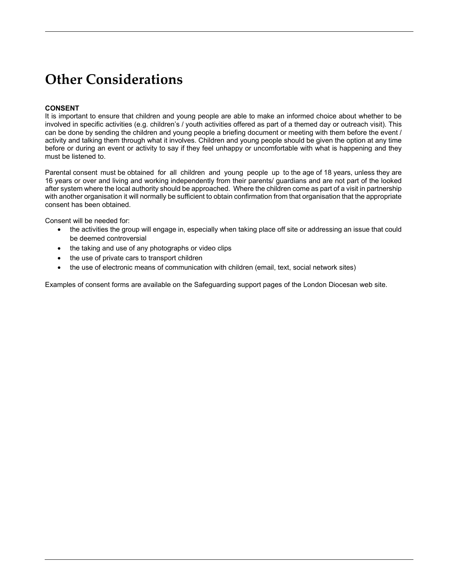## **Other Considerations**

## **CONSENT**

It is important to ensure that children and young people are able to make an informed choice about whether to be involved in specific activities (e.g. children's / youth activities offered as part of a themed day or outreach visit). This can be done by sending the children and young people a briefing document or meeting with them before the event / activity and talking them through what it involves. Children and young people should be given the option at any time before or during an event or activity to say if they feel unhappy or uncomfortable with what is happening and they must be listened to.

Parental consent must be obtained for all children and young people up to the age of 18 years, unless they are 16 years or over and living and working independently from their parents/ guardians and are not part of the looked after system where the local authority should be approached. Where the children come as part of a visit in partnership with another organisation it will normally be sufficient to obtain confirmation from that organisation that the appropriate consent has been obtained.

Consent will be needed for:

- the activities the group will engage in, especially when taking place off site or addressing an issue that could be deemed controversial
- the taking and use of any photographs or video clips
- the use of private cars to transport children
- the use of electronic means of communication with children (email, text, social network sites)

Examples of consent forms are available on the Safeguarding support pages of the London Diocesan web site.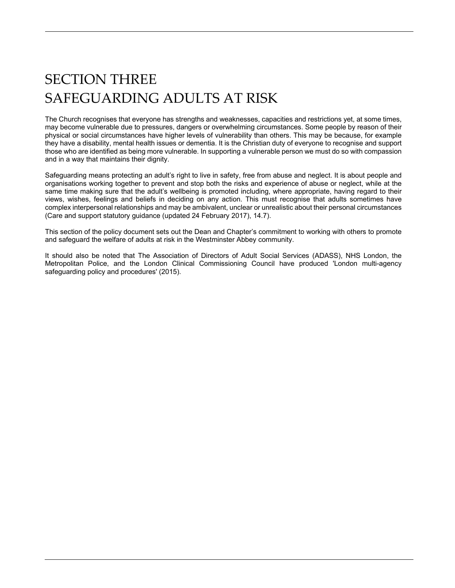# SECTION THREE SAFEGUARDING ADULTS AT RISK

The Church recognises that everyone has strengths and weaknesses, capacities and restrictions yet, at some times, may become vulnerable due to pressures, dangers or overwhelming circumstances. Some people by reason of their physical or social circumstances have higher levels of vulnerability than others. This may be because, for example they have a disability, mental health issues or dementia. It is the Christian duty of everyone to recognise and support those who are identified as being more vulnerable. In supporting a vulnerable person we must do so with compassion and in a way that maintains their dignity.

Safeguarding means protecting an adult's right to live in safety, free from abuse and neglect. It is about people and organisations working together to prevent and stop both the risks and experience of abuse or neglect, while at the same time making sure that the adult's wellbeing is promoted including, where appropriate, having regard to their views, wishes, feelings and beliefs in deciding on any action. This must recognise that adults sometimes have complex interpersonal relationships and may be ambivalent, unclear or unrealistic about their personal circumstances (Care and support statutory guidance (updated 24 February 2017), 14.7).

This section of the policy document sets out the Dean and Chapter's commitment to working with others to promote and safeguard the welfare of adults at risk in the Westminster Abbey community.

It should also be noted that The Association of Directors of Adult Social Services (ADASS), NHS London, the Metropolitan Police, and the London Clinical Commissioning Council have produced 'London multi-agency safeguarding policy and procedures' (2015).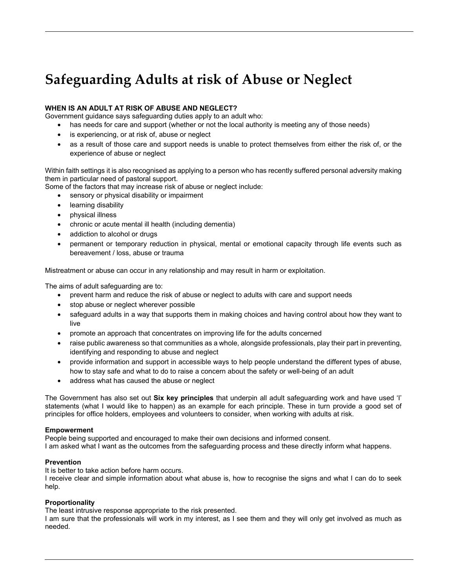## **Safeguarding Adults at risk of Abuse or Neglect**

## **WHEN IS AN ADULT AT RISK OF ABUSE AND NEGLECT?**

Government guidance says safeguarding duties apply to an adult who:

- has needs for care and support (whether or not the local authority is meeting any of those needs)
- is experiencing, or at risk of, abuse or neglect
- as a result of those care and support needs is unable to protect themselves from either the risk of, or the experience of abuse or neglect

Within faith settings it is also recognised as applying to a person who has recently suffered personal adversity making them in particular need of pastoral support.

Some of the factors that may increase risk of abuse or neglect include:

- sensory or physical disability or impairment
- learning disability
- physical illness
- chronic or acute mental ill health (including dementia)
- addiction to alcohol or drugs
- permanent or temporary reduction in physical, mental or emotional capacity through life events such as bereavement / loss, abuse or trauma

Mistreatment or abuse can occur in any relationship and may result in harm or exploitation.

The aims of adult safeguarding are to:

- prevent harm and reduce the risk of abuse or neglect to adults with care and support needs
- stop abuse or neglect wherever possible
- safeguard adults in a way that supports them in making choices and having control about how they want to live
- promote an approach that concentrates on improving life for the adults concerned
- raise public awareness so that communities as a whole, alongside professionals, play their part in preventing, identifying and responding to abuse and neglect
- provide information and support in accessible ways to help people understand the different types of abuse, how to stay safe and what to do to raise a concern about the safety or well-being of an adult
- address what has caused the abuse or neglect

The Government has also set out **Six key principles** that underpin all adult safeguarding work and have used 'I' statements (what I would like to happen) as an example for each principle. These in turn provide a good set of principles for office holders, employees and volunteers to consider, when working with adults at risk.

#### **Empowerment**

People being supported and encouraged to make their own decisions and informed consent.

I am asked what I want as the outcomes from the safeguarding process and these directly inform what happens.

#### **Prevention**

It is better to take action before harm occurs.

I receive clear and simple information about what abuse is, how to recognise the signs and what I can do to seek help.

## **Proportionality**

The least intrusive response appropriate to the risk presented.

I am sure that the professionals will work in my interest, as I see them and they will only get involved as much as needed.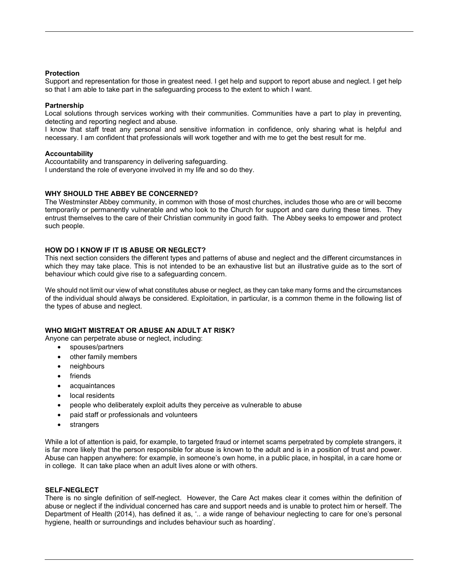### **Protection**

Support and representation for those in greatest need. I get help and support to report abuse and neglect. I get help so that I am able to take part in the safeguarding process to the extent to which I want.

#### **Partnership**

Local solutions through services working with their communities. Communities have a part to play in preventing, detecting and reporting neglect and abuse.

I know that staff treat any personal and sensitive information in confidence, only sharing what is helpful and necessary. I am confident that professionals will work together and with me to get the best result for me.

### **Accountability**

Accountability and transparency in delivering safeguarding. I understand the role of everyone involved in my life and so do they.

### **WHY SHOULD THE ABBEY BE CONCERNED?**

The Westminster Abbey community, in common with those of most churches, includes those who are or will become temporarily or permanently vulnerable and who look to the Church for support and care during these times. They entrust themselves to the care of their Christian community in good faith. The Abbey seeks to empower and protect such people.

### **HOW DO I KNOW IF IT IS ABUSE OR NEGLECT?**

This next section considers the different types and patterns of abuse and neglect and the different circumstances in which they may take place. This is not intended to be an exhaustive list but an illustrative guide as to the sort of behaviour which could give rise to a safeguarding concern.

We should not limit our view of what constitutes abuse or neglect, as they can take many forms and the circumstances of the individual should always be considered. Exploitation, in particular, is a common theme in the following list of the types of abuse and neglect.

#### **WHO MIGHT MISTREAT OR ABUSE AN ADULT AT RISK?**

Anyone can perpetrate abuse or neglect, including:

- spouses/partners
- other family members
- neighbours
- friends
- acquaintances
- local residents
- people who deliberately exploit adults they perceive as vulnerable to abuse
- paid staff or professionals and volunteers
- strangers

While a lot of attention is paid, for example, to targeted fraud or internet scams perpetrated by complete strangers, it is far more likely that the person responsible for abuse is known to the adult and is in a position of trust and power. Abuse can happen anywhere: for example, in someone's own home, in a public place, in hospital, in a care home or in college. It can take place when an adult lives alone or with others.

### **SELF-NEGLECT**

There is no single definition of self-neglect. However, the Care Act makes clear it comes within the definition of abuse or neglect if the individual concerned has care and support needs and is unable to protect him or herself. The Department of Health (2014), has defined it as, '.. a wide range of behaviour neglecting to care for one's personal hygiene, health or surroundings and includes behaviour such as hoarding'.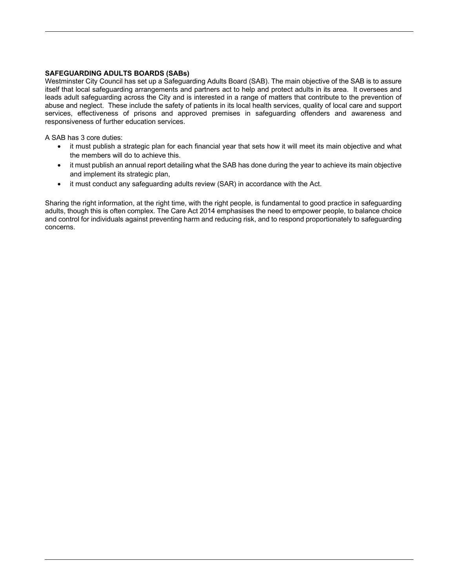### **SAFEGUARDING ADULTS BOARDS (SABs)**

Westminster City Council has set up a Safeguarding Adults Board (SAB). The main objective of the SAB is to assure itself that local safeguarding arrangements and partners act to help and protect adults in its area. It oversees and leads adult safeguarding across the City and is interested in a range of matters that contribute to the prevention of abuse and neglect. These include the safety of patients in its local health services, quality of local care and support services, effectiveness of prisons and approved premises in safeguarding offenders and awareness and responsiveness of further education services.

A SAB has 3 core duties:

- it must publish a strategic plan for each financial year that sets how it will meet its main objective and what the members will do to achieve this.
- it must publish an annual report detailing what the SAB has done during the year to achieve its main objective and implement its strategic plan,
- it must conduct any safeguarding adults review (SAR) in accordance with the Act.

Sharing the right information, at the right time, with the right people, is fundamental to good practice in safeguarding adults, though this is often complex. The Care Act 2014 emphasises the need to empower people, to balance choice and control for individuals against preventing harm and reducing risk, and to respond proportionately to safeguarding concerns.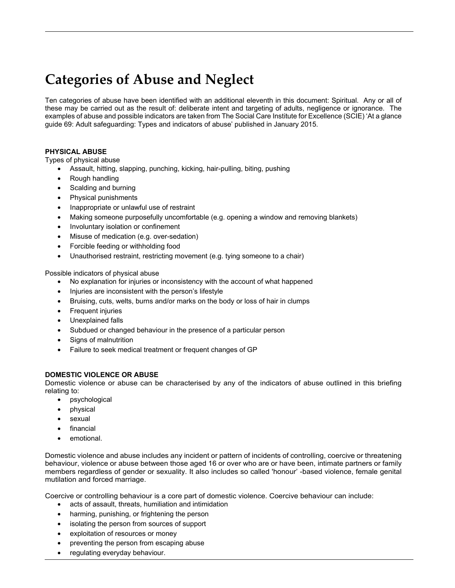## **Categories of Abuse and Neglect**

Ten categories of abuse have been identified with an additional eleventh in this document: Spiritual. Any or all of these may be carried out as the result of: deliberate intent and targeting of adults, negligence or ignorance. The examples of abuse and possible indicators are taken from The Social Care Institute for Excellence (SCIE) 'At a glance guide 69: Adult safeguarding: Types and indicators of abuse' published in January 2015.

## **PHYSICAL ABUSE**

Types of physical abuse

- Assault, hitting, slapping, punching, kicking, hair-pulling, biting, pushing
- Rough handling
- Scalding and burning
- Physical punishments
- Inappropriate or unlawful use of restraint
- Making someone purposefully uncomfortable (e.g. opening a window and removing blankets)
- Involuntary isolation or confinement
- Misuse of medication (e.g. over-sedation)
- Forcible feeding or withholding food
- Unauthorised restraint, restricting movement (e.g. tying someone to a chair)

Possible indicators of physical abuse

- No explanation for injuries or inconsistency with the account of what happened
- Injuries are inconsistent with the person's lifestyle
- Bruising, cuts, welts, burns and/or marks on the body or loss of hair in clumps
- Frequent injuries
- Unexplained falls
- Subdued or changed behaviour in the presence of a particular person
- Signs of malnutrition
- Failure to seek medical treatment or frequent changes of GP

## **DOMESTIC VIOLENCE OR ABUSE**

Domestic violence or abuse can be characterised by any of the indicators of abuse outlined in this briefing relating to:

- psychological
- physical
- sexual
- **financial**
- emotional.

Domestic violence and abuse includes any incident or pattern of incidents of controlling, coercive or threatening behaviour, violence or abuse between those aged 16 or over who are or have been, intimate partners or family members regardless of gender or sexuality. It also includes so called 'honour' -based violence, female genital mutilation and forced marriage.

Coercive or controlling behaviour is a core part of domestic violence. Coercive behaviour can include:

- acts of assault, threats, humiliation and intimidation
- harming, punishing, or frightening the person
- isolating the person from sources of support
- exploitation of resources or money
- preventing the person from escaping abuse
- regulating everyday behaviour.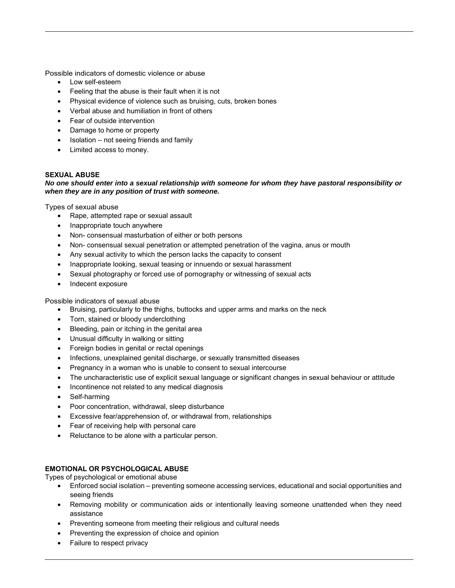Possible indicators of domestic violence or abuse

- Low self-esteem
- Feeling that the abuse is their fault when it is not
- Physical evidence of violence such as bruising, cuts, broken bones
- Verbal abuse and humiliation in front of others
- Fear of outside intervention
- Damage to home or property
- Isolation not seeing friends and family
- Limited access to money.

## **SEXUAL ABUSE**

### *No one should enter into a sexual relationship with someone for whom they have pastoral responsibility or when they are in any position of trust with someone.*

Types of sexual abuse

- Rape, attempted rape or sexual assault
- Inappropriate touch anywhere
- Non- consensual masturbation of either or both persons
- Non- consensual sexual penetration or attempted penetration of the vagina, anus or mouth
- Any sexual activity to which the person lacks the capacity to consent
- Inappropriate looking, sexual teasing or innuendo or sexual harassment
- Sexual photography or forced use of pornography or witnessing of sexual acts
- Indecent exposure

Possible indicators of sexual abuse

- Bruising, particularly to the thighs, buttocks and upper arms and marks on the neck
- Torn, stained or bloody underclothing
- Bleeding, pain or itching in the genital area
- Unusual difficulty in walking or sitting
- Foreign bodies in genital or rectal openings
- Infections, unexplained genital discharge, or sexually transmitted diseases
- Pregnancy in a woman who is unable to consent to sexual intercourse
- The uncharacteristic use of explicit sexual language or significant changes in sexual behaviour or attitude
- Incontinence not related to any medical diagnosis
- Self-harming
- Poor concentration, withdrawal, sleep disturbance
- Excessive fear/apprehension of, or withdrawal from, relationships
- Fear of receiving help with personal care
- Reluctance to be alone with a particular person.

## **EMOTIONAL OR PSYCHOLOGICAL ABUSE**

Types of psychological or emotional abuse

- Enforced social isolation preventing someone accessing services, educational and social opportunities and seeing friends
- Removing mobility or communication aids or intentionally leaving someone unattended when they need assistance
- Preventing someone from meeting their religious and cultural needs
- Preventing the expression of choice and opinion
- Failure to respect privacy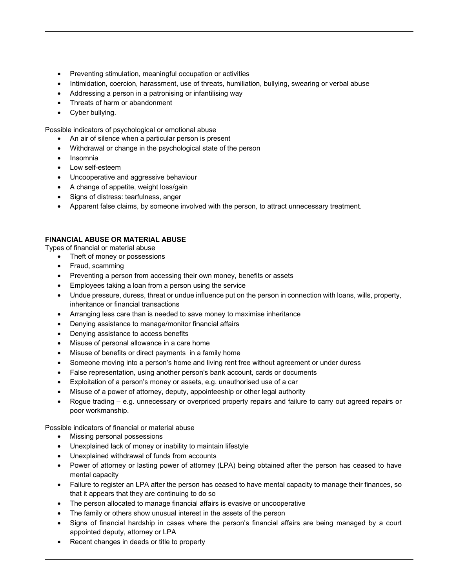- Preventing stimulation, meaningful occupation or activities
- Intimidation, coercion, harassment, use of threats, humiliation, bullying, swearing or verbal abuse
- Addressing a person in a patronising or infantilising way
- Threats of harm or abandonment
- Cyber bullying.

Possible indicators of psychological or emotional abuse

- An air of silence when a particular person is present
- Withdrawal or change in the psychological state of the person
- Insomnia
- Low self-esteem
- Uncooperative and aggressive behaviour
- A change of appetite, weight loss/gain
- Signs of distress: tearfulness, anger
- Apparent false claims, by someone involved with the person, to attract unnecessary treatment.

## **FINANCIAL ABUSE OR MATERIAL ABUSE**

Types of financial or material abuse

- Theft of money or possessions
- Fraud, scamming
- Preventing a person from accessing their own money, benefits or assets
- Employees taking a loan from a person using the service
- Undue pressure, duress, threat or undue influence put on the person in connection with loans, wills, property, inheritance or financial transactions
- Arranging less care than is needed to save money to maximise inheritance
- Denying assistance to manage/monitor financial affairs
- Denying assistance to access benefits
- Misuse of personal allowance in a care home
- Misuse of benefits or direct payments in a family home
- Someone moving into a person's home and living rent free without agreement or under duress
- False representation, using another person's bank account, cards or documents
- Exploitation of a person's money or assets, e.g. unauthorised use of a car
- Misuse of a power of attorney, deputy, appointeeship or other legal authority
- Rogue trading e.g. unnecessary or overpriced property repairs and failure to carry out agreed repairs or poor workmanship.

Possible indicators of financial or material abuse

- Missing personal possessions
- Unexplained lack of money or inability to maintain lifestyle
- Unexplained withdrawal of funds from accounts
- Power of attorney or lasting power of attorney (LPA) being obtained after the person has ceased to have mental capacity
- Failure to register an LPA after the person has ceased to have mental capacity to manage their finances, so that it appears that they are continuing to do so
- The person allocated to manage financial affairs is evasive or uncooperative
- The family or others show unusual interest in the assets of the person
- Signs of financial hardship in cases where the person's financial affairs are being managed by a court appointed deputy, attorney or LPA
- Recent changes in deeds or title to property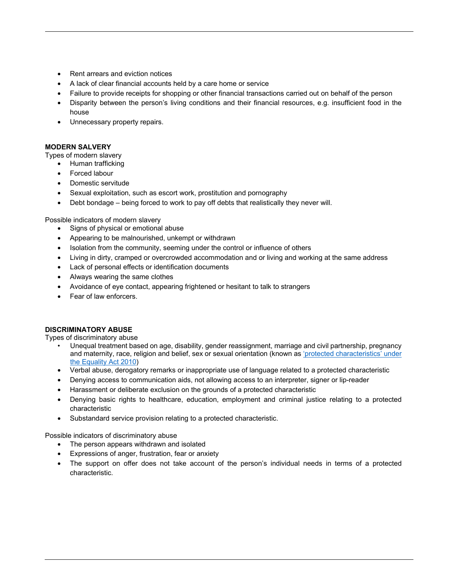- Rent arrears and eviction notices
- A lack of clear financial accounts held by a care home or service
- Failure to provide receipts for shopping or other financial transactions carried out on behalf of the person
- Disparity between the person's living conditions and their financial resources, e.g. insufficient food in the house
- Unnecessary property repairs.

## **MODERN SALVERY**

Types of modern slavery

• Human trafficking

- Forced labour
- Domestic servitude
- Sexual exploitation, such as escort work, prostitution and pornography
- Debt bondage being forced to work to pay off debts that realistically they never will.

Possible indicators of modern slavery

- Signs of physical or emotional abuse
- Appearing to be malnourished, unkempt or withdrawn
- Isolation from the community, seeming under the control or influence of others
- Living in dirty, cramped or overcrowded accommodation and or living and working at the same address
- Lack of personal effects or identification documents
- Always wearing the same clothes
- Avoidance of eye contact, appearing frightened or hesitant to talk to strangers
- Fear of law enforcers.

#### **DISCRIMINATORY ABUSE**

Types of discriminatory abuse

- Unequal treatment based on age, disability, gender reassignment, marriage and civil partnership, pregnancy and maternity, race, religion and belief, sex or sexual orientation (known as 'protected characteristics' under the Equality Act 2010)
- Verbal abuse, derogatory remarks or inappropriate use of language related to a protected characteristic
- Denying access to communication aids, not allowing access to an interpreter, signer or lip-reader
- Harassment or deliberate exclusion on the grounds of a protected characteristic
- Denying basic rights to healthcare, education, employment and criminal justice relating to a protected characteristic
- Substandard service provision relating to a protected characteristic.

Possible indicators of discriminatory abuse

- The person appears withdrawn and isolated
- Expressions of anger, frustration, fear or anxiety
- The support on offer does not take account of the person's individual needs in terms of a protected characteristic.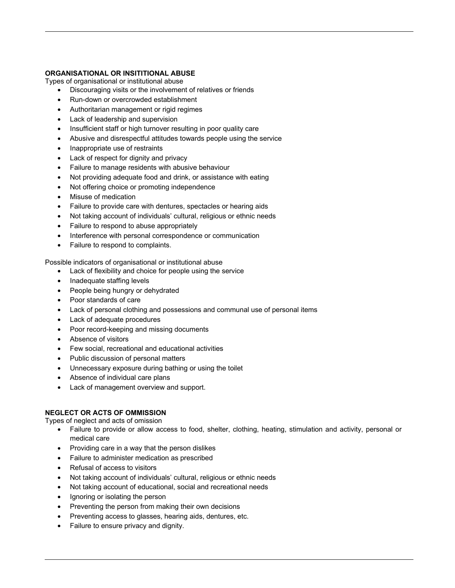## **ORGANISATIONAL OR INSITITIONAL ABUSE**

Types of organisational or institutional abuse

- Discouraging visits or the involvement of relatives or friends
- Run-down or overcrowded establishment
- Authoritarian management or rigid regimes
- Lack of leadership and supervision
- Insufficient staff or high turnover resulting in poor quality care
- Abusive and disrespectful attitudes towards people using the service
- Inappropriate use of restraints
- Lack of respect for dignity and privacy
- Failure to manage residents with abusive behaviour
- Not providing adequate food and drink, or assistance with eating
- Not offering choice or promoting independence
- Misuse of medication
- Failure to provide care with dentures, spectacles or hearing aids
- Not taking account of individuals' cultural, religious or ethnic needs
- Failure to respond to abuse appropriately
- Interference with personal correspondence or communication
- Failure to respond to complaints.

Possible indicators of organisational or institutional abuse

- Lack of flexibility and choice for people using the service
- Inadequate staffing levels
- People being hungry or dehydrated
- Poor standards of care
- Lack of personal clothing and possessions and communal use of personal items
- Lack of adequate procedures
- Poor record-keeping and missing documents
- Absence of visitors
- Few social, recreational and educational activities
- Public discussion of personal matters
- Unnecessary exposure during bathing or using the toilet
- Absence of individual care plans
- Lack of management overview and support.

## **NEGLECT OR ACTS OF OMMISSION**

Types of neglect and acts of omission

- Failure to provide or allow access to food, shelter, clothing, heating, stimulation and activity, personal or medical care
- Providing care in a way that the person dislikes
- Failure to administer medication as prescribed
- Refusal of access to visitors
- Not taking account of individuals' cultural, religious or ethnic needs
- Not taking account of educational, social and recreational needs
- Ignoring or isolating the person
- Preventing the person from making their own decisions
- Preventing access to glasses, hearing aids, dentures, etc.
- Failure to ensure privacy and dignity.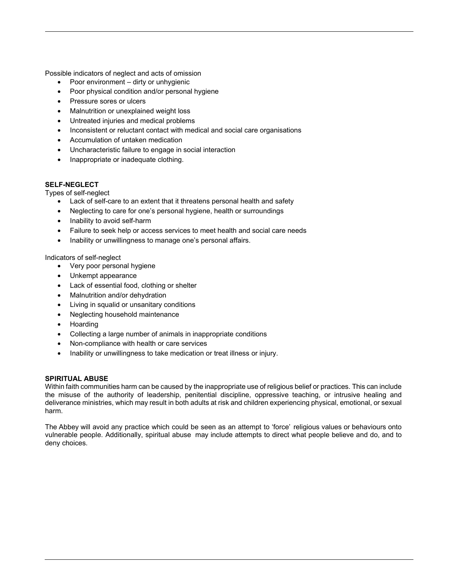Possible indicators of neglect and acts of omission

- Poor environment dirty or unhygienic
- Poor physical condition and/or personal hygiene
- Pressure sores or ulcers
- Malnutrition or unexplained weight loss
- Untreated injuries and medical problems
- Inconsistent or reluctant contact with medical and social care organisations
- Accumulation of untaken medication
- Uncharacteristic failure to engage in social interaction
- Inappropriate or inadequate clothing.

## **SELF-NEGLECT**

Types of self-neglect

- Lack of self-care to an extent that it threatens personal health and safety
- Neglecting to care for one's personal hygiene, health or surroundings
- Inability to avoid self-harm
- Failure to seek help or access services to meet health and social care needs
- Inability or unwillingness to manage one's personal affairs.

### Indicators of self-neglect

- Very poor personal hygiene
- Unkempt appearance
- Lack of essential food, clothing or shelter
- Malnutrition and/or dehydration
- Living in squalid or unsanitary conditions
- Neglecting household maintenance
- Hoarding
- Collecting a large number of animals in inappropriate conditions
- Non-compliance with health or care services
- Inability or unwillingness to take medication or treat illness or injury.

## **SPIRITUAL ABUSE**

Within faith communities harm can be caused by the inappropriate use of religious belief or practices. This can include the misuse of the authority of leadership, penitential discipline, oppressive teaching, or intrusive healing and deliverance ministries, which may result in both adults at risk and children experiencing physical, emotional, or sexual harm.

The Abbey will avoid any practice which could be seen as an attempt to 'force' religious values or behaviours onto vulnerable people. Additionally, spiritual abuse may include attempts to direct what people believe and do, and to deny choices.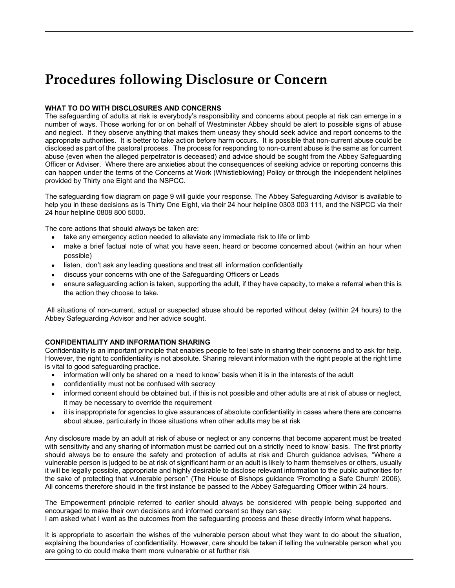## **Procedures following Disclosure or Concern**

## **WHAT TO DO WITH DISCLOSURES AND CONCERNS**

The safeguarding of adults at risk is everybody's responsibility and concerns about people at risk can emerge in a number of ways. Those working for or on behalf of Westminster Abbey should be alert to possible signs of abuse and neglect. If they observe anything that makes them uneasy they should seek advice and report concerns to the appropriate authorities. It is better to take action before harm occurs. It is possible that non-current abuse could be disclosed as part of the pastoral process. The process for responding to non-current abuse is the same as for current abuse (even when the alleged perpetrator is deceased) and advice should be sought from the Abbey Safeguarding Officer or Adviser. Where there are anxieties about the consequences of seeking advice or reporting concerns this can happen under the terms of the Concerns at Work (Whistleblowing) Policy or through the independent helplines provided by Thirty one Eight and the NSPCC.

The safeguarding flow diagram on page 9 will guide your response. The Abbey Safeguarding Advisor is available to help you in these decisions as is Thirty One Eight, via their 24 hour helpline 0303 003 111, and the NSPCC via their 24 hour helpline 0808 800 5000.

The core actions that should always be taken are:

- take any emergency action needed to alleviate any immediate risk to life or limb
- make a brief factual note of what you have seen, heard or become concerned about (within an hour when possible)
- listen, don't ask any leading questions and treat all information confidentially
- discuss your concerns with one of the Safeguarding Officers or Leads
- ensure safeguarding action is taken, supporting the adult, if they have capacity, to make a referral when this is the action they choose to take.

 All situations of non-current, actual or suspected abuse should be reported without delay (within 24 hours) to the Abbey Safeguarding Advisor and her advice sought.

## **CONFIDENTIALITY AND INFORMATION SHARING**

Confidentiality is an important principle that enables people to feel safe in sharing their concerns and to ask for help. However, the right to confidentiality is not absolute. Sharing relevant information with the right people at the right time is vital to good safeguarding practice.

- information will only be shared on a 'need to know' basis when it is in the interests of the adult
- confidentiality must not be confused with secrecy
- informed consent should be obtained but, if this is not possible and other adults are at risk of abuse or neglect, it may be necessary to override the requirement
- it is inappropriate for agencies to give assurances of absolute confidentiality in cases where there are concerns about abuse, particularly in those situations when other adults may be at risk

Any disclosure made by an adult at risk of abuse or neglect or any concerns that become apparent must be treated with sensitivity and any sharing of information must be carried out on a strictly 'need to know' basis. The first priority should always be to ensure the safety and protection of adults at risk and Church guidance advises, "Where a vulnerable person is judged to be at risk of significant harm or an adult is likely to harm themselves or others, usually it will be legally possible, appropriate and highly desirable to disclose relevant information to the public authorities for the sake of protecting that vulnerable person'' (The House of Bishops guidance 'Promoting a Safe Church' 2006). All concerns therefore should in the first instance be passed to the Abbey Safeguarding Officer within 24 hours.

The Empowerment principle referred to earlier should always be considered with people being supported and encouraged to make their own decisions and informed consent so they can say: I am asked what I want as the outcomes from the safeguarding process and these directly inform what happens.

It is appropriate to ascertain the wishes of the vulnerable person about what they want to do about the situation, explaining the boundaries of confidentiality. However, care should be taken if telling the vulnerable person what you are going to do could make them more vulnerable or at further risk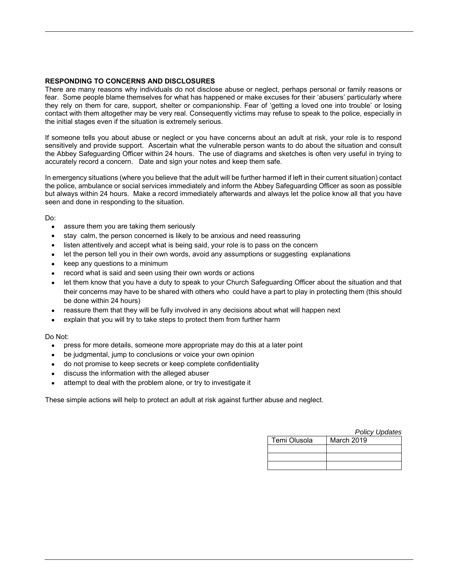### **RESPONDING TO CONCERNS AND DISCLOSURES**

There are many reasons why individuals do not disclose abuse or neglect, perhaps personal or family reasons or fear. Some people blame themselves for what has happened or make excuses for their 'abusers' particularly where they rely on them for care, support, shelter or companionship. Fear of 'getting a loved one into trouble' or losing contact with them altogether may be very real. Consequently victims may refuse to speak to the police, especially in the initial stages even if the situation is extremely serious.

If someone tells you about abuse or neglect or you have concerns about an adult at risk, your role is to respond sensitively and provide support. Ascertain what the vulnerable person wants to do about the situation and consult the Abbey Safeguarding Officer within 24 hours. The use of diagrams and sketches is often very useful in trying to accurately record a concern. Date and sign your notes and keep them safe.

In emergency situations (where you believe that the adult will be further harmed if left in their current situation) contact the police, ambulance or social services immediately and inform the Abbey Safeguarding Officer as soon as possible but always within 24 hours. Make a record immediately afterwards and always let the police know all that you have seen and done in responding to the situation.

Do:

- assure them you are taking them seriously
- stay calm, the person concerned is likely to be anxious and need reassuring
- listen attentively and accept what is being said, your role is to pass on the concern
- let the person tell you in their own words, avoid any assumptions or suggesting explanations
- keep any questions to a minimum
- record what is said and seen using their own words or actions
- let them know that you have a duty to speak to your Church Safeguarding Officer about the situation and that their concerns may have to be shared with others who could have a part to play in protecting them (this should be done within 24 hours)
- reassure them that they will be fully involved in any decisions about what will happen next
- explain that you will try to take steps to protect them from further harm

Do Not:

- press for more details, someone more appropriate may do this at a later point
- be judgmental, jump to conclusions or voice your own opinion
- do not promise to keep secrets or keep complete confidentiality
- discuss the information with the alleged abuser
- attempt to deal with the problem alone, or try to investigate it

These simple actions will help to protect an adult at risk against further abuse and neglect.

|              | <b>Policy Updates</b> |
|--------------|-----------------------|
| Temi Olusola | March 2019            |
|              |                       |
|              |                       |
|              |                       |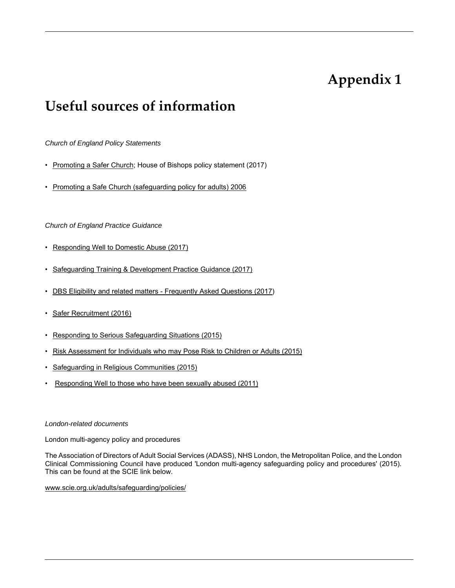## **Appendix 1**

## **Useful sources of information**

*Church of England Policy Statements* 

- Promoting a Safer Church; House of Bishops policy statement (2017)
- Promoting a Safe Church (safeguarding policy for adults) 2006

## *Church of England Practice Guidance*

- Responding Well to Domestic Abuse (2017)
- Safeguarding Training & Development Practice Guidance (2017)
- DBS Eligibility and related matters Frequently Asked Questions (2017)
- Safer Recruitment (2016)
- Responding to Serious Safeguarding Situations (2015)
- Risk Assessment for Individuals who may Pose Risk to Children or Adults (2015)
- Safeguarding in Religious Communities (2015)
- Responding Well to those who have been sexually abused (2011)

#### *London-related documents*

London multi-agency policy and procedures

The Association of Directors of Adult Social Services (ADASS), NHS London, the Metropolitan Police, and the London Clinical Commissioning Council have produced 'London multi-agency safeguarding policy and procedures' (2015). This can be found at the SCIE link below.

www.scie.org.uk/adults/safeguarding/policies/